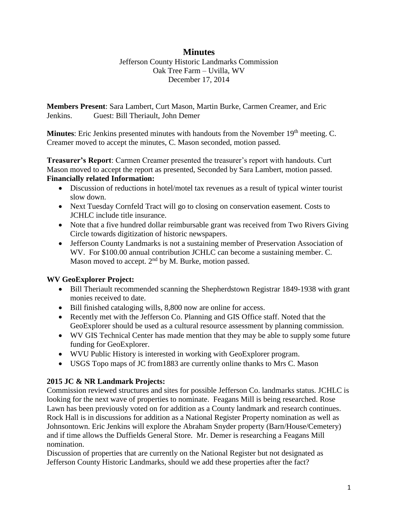# **Minutes**

Jefferson County Historic Landmarks Commission Oak Tree Farm – Uvilla, WV December 17, 2014

**Members Present**: Sara Lambert, Curt Mason, Martin Burke, Carmen Creamer, and Eric Jenkins. Guest: Bill Theriault, John Demer

Minutes: Eric Jenkins presented minutes with handouts from the November 19<sup>th</sup> meeting. C. Creamer moved to accept the minutes, C. Mason seconded, motion passed.

**Treasurer's Report**: Carmen Creamer presented the treasurer's report with handouts. Curt Mason moved to accept the report as presented, Seconded by Sara Lambert, motion passed. **Financially related Information:** 

- Discussion of reductions in hotel/motel tax revenues as a result of typical winter tourist slow down.
- Next Tuesday Cornfeld Tract will go to closing on conservation easement. Costs to JCHLC include title insurance.
- Note that a five hundred dollar reimbursable grant was received from Two Rivers Giving Circle towards digitization of historic newspapers.
- Jefferson County Landmarks is not a sustaining member of Preservation Association of WV. For \$100.00 annual contribution JCHLC can become a sustaining member. C. Mason moved to accept.  $2<sup>nd</sup>$  by M. Burke, motion passed.

## **WV GeoExplorer Project:**

- Bill Theriault recommended scanning the Shepherdstown Registrar 1849-1938 with grant monies received to date.
- Bill finished cataloging wills, 8,800 now are online for access.
- Recently met with the Jefferson Co. Planning and GIS Office staff. Noted that the GeoExplorer should be used as a cultural resource assessment by planning commission.
- WV GIS Technical Center has made mention that they may be able to supply some future funding for GeoExplorer.
- WVU Public History is interested in working with GeoExplorer program.
- USGS Topo maps of JC from1883 are currently online thanks to Mrs C. Mason

## **2015 JC & NR Landmark Projects:**

Commission reviewed structures and sites for possible Jefferson Co. landmarks status. JCHLC is looking for the next wave of properties to nominate. Feagans Mill is being researched. Rose Lawn has been previously voted on for addition as a County landmark and research continues. Rock Hall is in discussions for addition as a National Register Property nomination as well as Johnsontown. Eric Jenkins will explore the Abraham Snyder property (Barn/House/Cemetery) and if time allows the Duffields General Store. Mr. Demer is researching a Feagans Mill nomination.

Discussion of properties that are currently on the National Register but not designated as Jefferson County Historic Landmarks, should we add these properties after the fact?